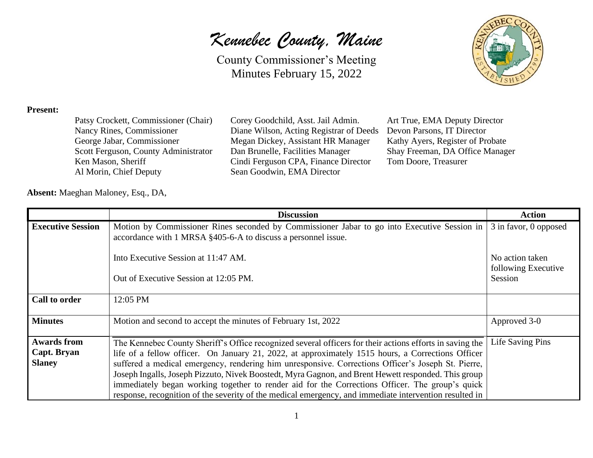### *Kennebec County, Maine*

County Commissioner's Meeting Minutes February 15, 2022



#### **Present:**

| Patsy Crockett, Commissioner (Chair) |
|--------------------------------------|
| Nancy Rines, Commissioner            |
| George Jabar, Commissioner           |
|                                      |
| Scott Ferguson, County Administrator |
| Ken Mason, Sheriff                   |

Corey Goodchild, Asst. Jail Admin. Art True, EMA Deputy Director Diane Wilson, Acting Registrar of Deeds Devon Parsons, IT Director Megan Dickey, Assistant HR Manager Kathy Ayers, Register of Probate Dan Brunelle, Facilities Manager Shay Freeman, DA Office Manager Cindi Ferguson CPA, Finance Director Tom Doore, Treasurer Sean Goodwin, EMA Director

**Absent:** Maeghan Maloney, Esq., DA,

|                          | <b>Discussion</b>                                                                                        | <b>Action</b>                  |
|--------------------------|----------------------------------------------------------------------------------------------------------|--------------------------------|
| <b>Executive Session</b> | Motion by Commissioner Rines seconded by Commissioner Jabar to go into Executive Session in              | 3 in favor, 0 opposed          |
|                          | accordance with 1 MRSA §405-6-A to discuss a personnel issue.                                            |                                |
|                          | Into Executive Session at 11:47 AM.                                                                      | No action taken                |
|                          | Out of Executive Session at 12:05 PM.                                                                    | following Executive<br>Session |
| Call to order            | 12:05 PM                                                                                                 |                                |
| <b>Minutes</b>           | Motion and second to accept the minutes of February 1st, 2022                                            | Approved 3-0                   |
| <b>Awards from</b>       | The Kennebec County Sheriff's Office recognized several officers for their actions efforts in saving the | <b>Life Saving Pins</b>        |
| Capt. Bryan              | life of a fellow officer. On January 21, 2022, at approximately 1515 hours, a Corrections Officer        |                                |
| <b>Slaney</b>            | suffered a medical emergency, rendering him unresponsive. Corrections Officer's Joseph St. Pierre,       |                                |
|                          | Joseph Ingalls, Joseph Pizzuto, Nivek Boostedt, Myra Gagnon, and Brent Hewett responded. This group      |                                |
|                          | immediately began working together to render aid for the Corrections Officer. The group's quick          |                                |
|                          | response, recognition of the severity of the medical emergency, and immediate intervention resulted in   |                                |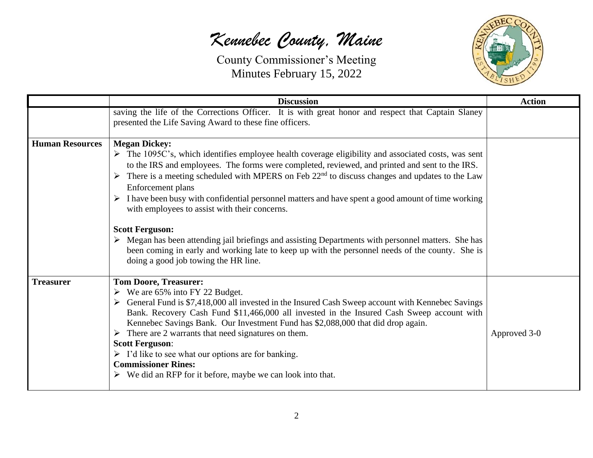## *Kennebec County, Maine*



|                        | <b>Discussion</b>                                                                                                                                                                                                                                                                                                                                                                                                                                                                                                                                                                                                                                                                                                                                                                                                                                                 | <b>Action</b> |
|------------------------|-------------------------------------------------------------------------------------------------------------------------------------------------------------------------------------------------------------------------------------------------------------------------------------------------------------------------------------------------------------------------------------------------------------------------------------------------------------------------------------------------------------------------------------------------------------------------------------------------------------------------------------------------------------------------------------------------------------------------------------------------------------------------------------------------------------------------------------------------------------------|---------------|
|                        | saving the life of the Corrections Officer. It is with great honor and respect that Captain Slaney<br>presented the Life Saving Award to these fine officers.                                                                                                                                                                                                                                                                                                                                                                                                                                                                                                                                                                                                                                                                                                     |               |
| <b>Human Resources</b> | <b>Megan Dickey:</b><br>$\triangleright$ The 1095C's, which identifies employee health coverage eligibility and associated costs, was sent<br>to the IRS and employees. The forms were completed, reviewed, and printed and sent to the IRS.<br>$\triangleright$ There is a meeting scheduled with MPERS on Feb 22 <sup>nd</sup> to discuss changes and updates to the Law<br>Enforcement plans<br>$\triangleright$ I have been busy with confidential personnel matters and have spent a good amount of time working<br>with employees to assist with their concerns.<br><b>Scott Ferguson:</b><br>$\triangleright$ Megan has been attending jail briefings and assisting Departments with personnel matters. She has<br>been coming in early and working late to keep up with the personnel needs of the county. She is<br>doing a good job towing the HR line. |               |
| <b>Treasurer</b>       | <b>Tom Doore, Treasurer:</b><br>$\triangleright$ We are 65% into FY 22 Budget.<br>$\triangleright$ General Fund is \$7,418,000 all invested in the Insured Cash Sweep account with Kennebec Savings<br>Bank. Recovery Cash Fund \$11,466,000 all invested in the Insured Cash Sweep account with<br>Kennebec Savings Bank. Our Investment Fund has \$2,088,000 that did drop again.<br>$\triangleright$ There are 2 warrants that need signatures on them.<br><b>Scott Ferguson:</b><br>$\triangleright$ I'd like to see what our options are for banking.<br><b>Commissioner Rines:</b><br>$\triangleright$ We did an RFP for it before, maybe we can look into that.                                                                                                                                                                                            | Approved 3-0  |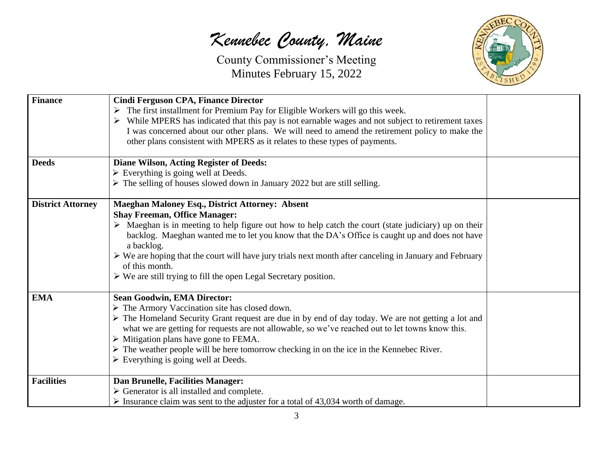# *Kennebec County, Maine*



| <b>Finance</b>           | <b>Cindi Ferguson CPA, Finance Director</b>                                                                            |  |
|--------------------------|------------------------------------------------------------------------------------------------------------------------|--|
|                          | $\triangleright$ The first installment for Premium Pay for Eligible Workers will go this week.                         |  |
|                          | $\triangleright$ While MPERS has indicated that this pay is not earnable wages and not subject to retirement taxes     |  |
|                          | I was concerned about our other plans. We will need to amend the retirement policy to make the                         |  |
|                          | other plans consistent with MPERS as it relates to these types of payments.                                            |  |
|                          |                                                                                                                        |  |
| <b>Deeds</b>             | <b>Diane Wilson, Acting Register of Deeds:</b>                                                                         |  |
|                          | $\triangleright$ Everything is going well at Deeds.                                                                    |  |
|                          | $\triangleright$ The selling of houses slowed down in January 2022 but are still selling.                              |  |
| <b>District Attorney</b> | <b>Maeghan Maloney Esq., District Attorney: Absent</b>                                                                 |  |
|                          | <b>Shay Freeman, Office Manager:</b>                                                                                   |  |
|                          | $\triangleright$ Maeghan is in meeting to help figure out how to help catch the court (state judiciary) up on their    |  |
|                          | backlog. Maeghan wanted me to let you know that the DA's Office is caught up and does not have                         |  |
|                          | a backlog.                                                                                                             |  |
|                          | $\triangleright$ We are hoping that the court will have jury trials next month after canceling in January and February |  |
|                          | of this month.                                                                                                         |  |
|                          | $\triangleright$ We are still trying to fill the open Legal Secretary position.                                        |  |
| <b>EMA</b>               | <b>Sean Goodwin, EMA Director:</b>                                                                                     |  |
|                          | > The Armory Vaccination site has closed down.                                                                         |  |
|                          | The Homeland Security Grant request are due in by end of day today. We are not getting a lot and                       |  |
|                          | what we are getting for requests are not allowable, so we've reached out to let towns know this.                       |  |
|                          | $\triangleright$ Mitigation plans have gone to FEMA.                                                                   |  |
|                          | $\triangleright$ The weather people will be here tomorrow checking in on the ice in the Kennebec River.                |  |
|                          | $\triangleright$ Everything is going well at Deeds.                                                                    |  |
| <b>Facilities</b>        | Dan Brunelle, Facilities Manager:                                                                                      |  |
|                          | $\triangleright$ Generator is all installed and complete.                                                              |  |
|                          | $\triangleright$ Insurance claim was sent to the adjuster for a total of 43,034 worth of damage.                       |  |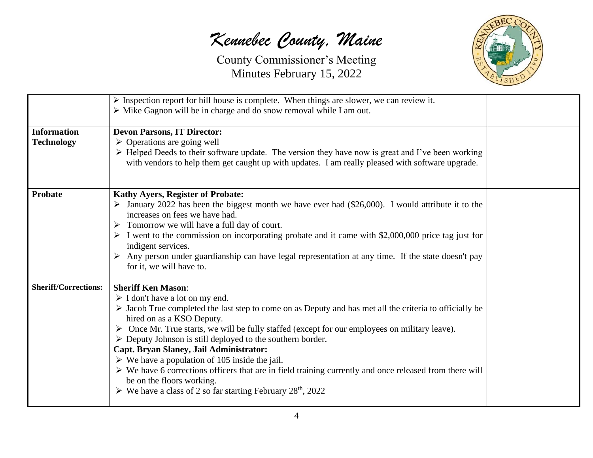*Kennebec County, Maine*



|                                         | $\triangleright$ Inspection report for hill house is complete. When things are slower, we can review it.<br>> Mike Gagnon will be in charge and do snow removal while I am out.                                                                                                                                                                                                                                                                                                                                                                                                                                                                                                                                                                                                |  |
|-----------------------------------------|--------------------------------------------------------------------------------------------------------------------------------------------------------------------------------------------------------------------------------------------------------------------------------------------------------------------------------------------------------------------------------------------------------------------------------------------------------------------------------------------------------------------------------------------------------------------------------------------------------------------------------------------------------------------------------------------------------------------------------------------------------------------------------|--|
| <b>Information</b><br><b>Technology</b> | <b>Devon Parsons, IT Director:</b><br>$\triangleright$ Operations are going well<br>$\triangleright$ Helped Deeds to their software update. The version they have now is great and I've been working<br>with vendors to help them get caught up with updates. I am really pleased with software upgrade.                                                                                                                                                                                                                                                                                                                                                                                                                                                                       |  |
| <b>Probate</b>                          | <b>Kathy Ayers, Register of Probate:</b><br>$\triangleright$ January 2022 has been the biggest month we have ever had (\$26,000). I would attribute it to the<br>increases on fees we have had.<br>$\triangleright$ Tomorrow we will have a full day of court.<br>$\triangleright$ I went to the commission on incorporating probate and it came with \$2,000,000 price tag just for<br>indigent services.<br>Any person under guardianship can have legal representation at any time. If the state doesn't pay<br>for it, we will have to.                                                                                                                                                                                                                                    |  |
| <b>Sheriff/Corrections:</b>             | <b>Sheriff Ken Mason:</b><br>$\triangleright$ I don't have a lot on my end.<br>$\triangleright$ Jacob True completed the last step to come on as Deputy and has met all the criteria to officially be<br>hired on as a KSO Deputy.<br>> Once Mr. True starts, we will be fully staffed (except for our employees on military leave).<br>$\triangleright$ Deputy Johnson is still deployed to the southern border.<br>Capt. Bryan Slaney, Jail Administrator:<br>$\triangleright$ We have a population of 105 inside the jail.<br>$\triangleright$ We have 6 corrections officers that are in field training currently and once released from there will<br>be on the floors working.<br>$\triangleright$ We have a class of 2 so far starting February 28 <sup>th</sup> , 2022 |  |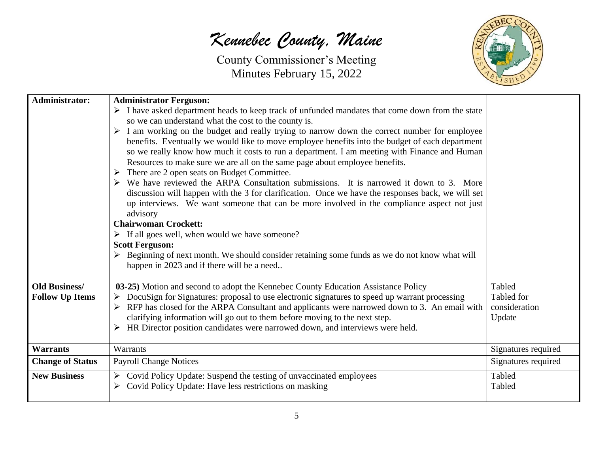*Kennebec County, Maine*



| <b>Administrator:</b>   | <b>Administrator Ferguson:</b>                                                                                                                                                              |                             |
|-------------------------|---------------------------------------------------------------------------------------------------------------------------------------------------------------------------------------------|-----------------------------|
|                         | $\triangleright$ I have asked department heads to keep track of unfunded mandates that come down from the state                                                                             |                             |
|                         | so we can understand what the cost to the county is.                                                                                                                                        |                             |
|                         | $\triangleright$ I am working on the budget and really trying to narrow down the correct number for employee                                                                                |                             |
|                         | benefits. Eventually we would like to move employee benefits into the budget of each department                                                                                             |                             |
|                         | so we really know how much it costs to run a department. I am meeting with Finance and Human                                                                                                |                             |
|                         | Resources to make sure we are all on the same page about employee benefits.                                                                                                                 |                             |
|                         | $\triangleright$ There are 2 open seats on Budget Committee.<br>$\triangleright$ We have reviewed the ARPA Consultation submissions. It is narrowed it down to 3. More                      |                             |
|                         | discussion will happen with the 3 for clarification. Once we have the responses back, we will set                                                                                           |                             |
|                         | up interviews. We want someone that can be more involved in the compliance aspect not just                                                                                                  |                             |
|                         | advisory                                                                                                                                                                                    |                             |
|                         | <b>Chairwoman Crockett:</b>                                                                                                                                                                 |                             |
|                         | $\triangleright$ If all goes well, when would we have someone?                                                                                                                              |                             |
|                         | <b>Scott Ferguson:</b>                                                                                                                                                                      |                             |
|                         | $\triangleright$ Beginning of next month. We should consider retaining some funds as we do not know what will                                                                               |                             |
|                         | happen in 2023 and if there will be a need                                                                                                                                                  |                             |
|                         |                                                                                                                                                                                             |                             |
| <b>Old Business/</b>    | 03-25) Motion and second to adopt the Kennebec County Education Assistance Policy                                                                                                           | Tabled                      |
| <b>Follow Up Items</b>  | $\triangleright$ DocuSign for Signatures: proposal to use electronic signatures to speed up warrant processing                                                                              | Tabled for<br>consideration |
|                         | $\triangleright$ RFP has closed for the ARPA Consultant and applicants were narrowed down to 3. An email with<br>clarifying information will go out to them before moving to the next step. | Update                      |
|                         | $\triangleright$ HR Director position candidates were narrowed down, and interviews were held.                                                                                              |                             |
|                         |                                                                                                                                                                                             |                             |
| <b>Warrants</b>         | Warrants                                                                                                                                                                                    | Signatures required         |
| <b>Change of Status</b> | <b>Payroll Change Notices</b>                                                                                                                                                               | Signatures required         |
| <b>New Business</b>     | $\triangleright$ Covid Policy Update: Suspend the testing of unvaccinated employees                                                                                                         | Tabled                      |
|                         | Covid Policy Update: Have less restrictions on masking                                                                                                                                      | Tabled                      |
|                         |                                                                                                                                                                                             |                             |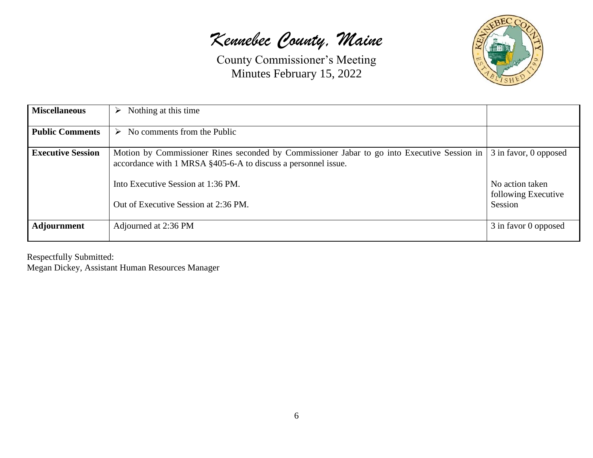*Kennebec County, Maine*



| <b>Miscellaneous</b>     | Nothing at this time<br>➤                                                                                                                                                                          |                                                                 |
|--------------------------|----------------------------------------------------------------------------------------------------------------------------------------------------------------------------------------------------|-----------------------------------------------------------------|
| <b>Public Comments</b>   | No comments from the Public<br>➤                                                                                                                                                                   |                                                                 |
| <b>Executive Session</b> | Motion by Commissioner Rines seconded by Commissioner Jabar to go into Executive Session in<br>accordance with 1 MRSA §405-6-A to discuss a personnel issue.<br>Into Executive Session at 1:36 PM. | 3 in favor, 0 opposed<br>No action taken<br>following Executive |
|                          | Out of Executive Session at 2:36 PM.                                                                                                                                                               | Session                                                         |
| <b>Adjournment</b>       | Adjourned at 2:36 PM                                                                                                                                                                               | 3 in favor 0 opposed                                            |

Respectfully Submitted:

Megan Dickey, Assistant Human Resources Manager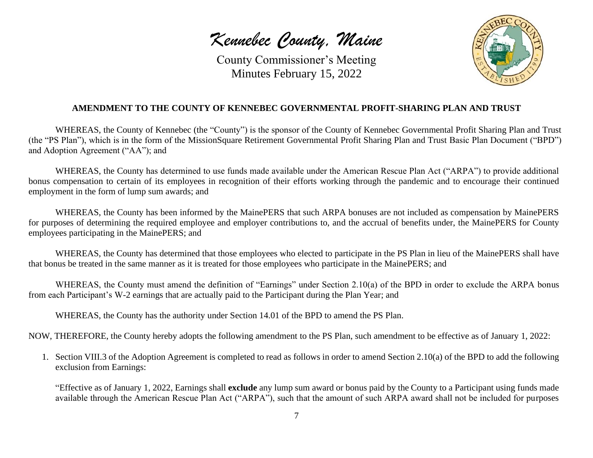*Kennebec County, Maine*



### **AMENDMENT TO THE COUNTY OF KENNEBEC GOVERNMENTAL PROFIT-SHARING PLAN AND TRUST**

WHEREAS, the County of Kennebec (the "County") is the sponsor of the County of Kennebec Governmental Profit Sharing Plan and Trust (the "PS Plan"), which is in the form of the MissionSquare Retirement Governmental Profit Sharing Plan and Trust Basic Plan Document ("BPD") and Adoption Agreement ("AA"); and

WHEREAS, the County has determined to use funds made available under the American Rescue Plan Act ("ARPA") to provide additional bonus compensation to certain of its employees in recognition of their efforts working through the pandemic and to encourage their continued employment in the form of lump sum awards; and

WHEREAS, the County has been informed by the MainePERS that such ARPA bonuses are not included as compensation by MainePERS for purposes of determining the required employee and employer contributions to, and the accrual of benefits under, the MainePERS for County employees participating in the MainePERS; and

WHEREAS, the County has determined that those employees who elected to participate in the PS Plan in lieu of the MainePERS shall have that bonus be treated in the same manner as it is treated for those employees who participate in the MainePERS; and

WHEREAS, the County must amend the definition of "Earnings" under Section 2.10(a) of the BPD in order to exclude the ARPA bonus from each Participant's W-2 earnings that are actually paid to the Participant during the Plan Year; and

WHEREAS, the County has the authority under Section 14.01 of the BPD to amend the PS Plan.

NOW, THEREFORE, the County hereby adopts the following amendment to the PS Plan, such amendment to be effective as of January 1, 2022:

1. Section VIII.3 of the Adoption Agreement is completed to read as follows in order to amend Section 2.10(a) of the BPD to add the following exclusion from Earnings:

"Effective as of January 1, 2022, Earnings shall **exclude** any lump sum award or bonus paid by the County to a Participant using funds made available through the American Rescue Plan Act ("ARPA"), such that the amount of such ARPA award shall not be included for purposes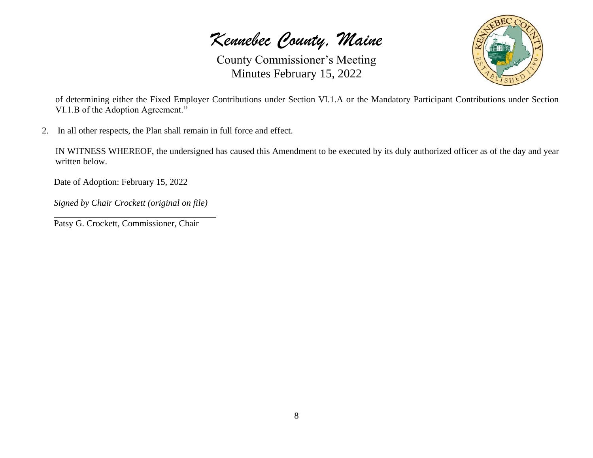*Kennebec County, Maine*



of determining either the Fixed Employer Contributions under Section VI.1.A or the Mandatory Participant Contributions under Section VI.1.B of the Adoption Agreement."

2. In all other respects, the Plan shall remain in full force and effect.

IN WITNESS WHEREOF, the undersigned has caused this Amendment to be executed by its duly authorized officer as of the day and year written below.

Date of Adoption: February 15, 2022

*Signed by Chair Crockett (original on file)*

Patsy G. Crockett, Commissioner, Chair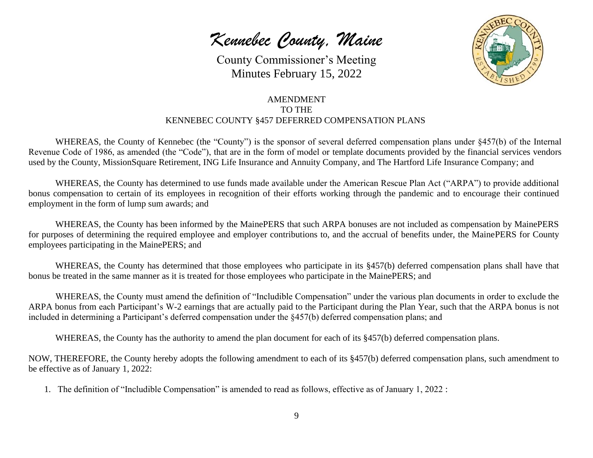*Kennebec County, Maine*



### AMENDMENT TO THE KENNEBEC COUNTY §457 DEFERRED COMPENSATION PLANS

WHEREAS, the County of Kennebec (the "County") is the sponsor of several deferred compensation plans under §457(b) of the Internal Revenue Code of 1986, as amended (the "Code"), that are in the form of model or template documents provided by the financial services vendors used by the County, MissionSquare Retirement, ING Life Insurance and Annuity Company, and The Hartford Life Insurance Company; and

WHEREAS, the County has determined to use funds made available under the American Rescue Plan Act ("ARPA") to provide additional bonus compensation to certain of its employees in recognition of their efforts working through the pandemic and to encourage their continued employment in the form of lump sum awards; and

WHEREAS, the County has been informed by the MainePERS that such ARPA bonuses are not included as compensation by MainePERS for purposes of determining the required employee and employer contributions to, and the accrual of benefits under, the MainePERS for County employees participating in the MainePERS; and

WHEREAS, the County has determined that those employees who participate in its §457(b) deferred compensation plans shall have that bonus be treated in the same manner as it is treated for those employees who participate in the MainePERS; and

WHEREAS, the County must amend the definition of "Includible Compensation" under the various plan documents in order to exclude the ARPA bonus from each Participant's W-2 earnings that are actually paid to the Participant during the Plan Year, such that the ARPA bonus is not included in determining a Participant's deferred compensation under the §457(b) deferred compensation plans; and

WHEREAS, the County has the authority to amend the plan document for each of its §457(b) deferred compensation plans.

NOW, THEREFORE, the County hereby adopts the following amendment to each of its §457(b) deferred compensation plans, such amendment to be effective as of January 1, 2022:

1. The definition of "Includible Compensation" is amended to read as follows, effective as of January 1, 2022 :